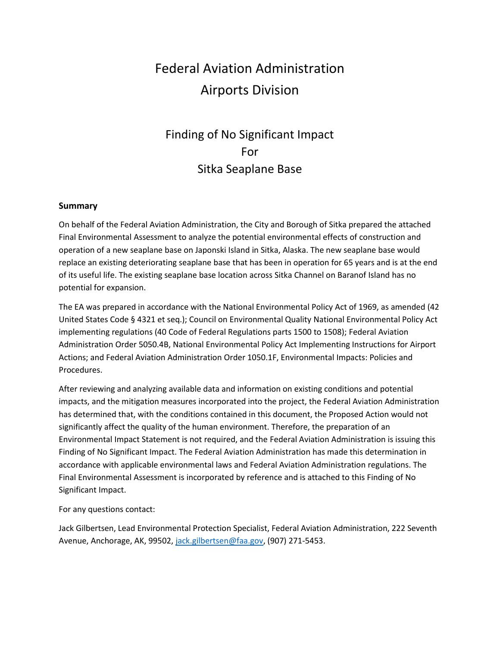# Federal Aviation Administration Airports Division

# Finding of No Significant Impact For Sitka Seaplane Base

#### **Summary**

On behalf of the Federal Aviation Administration, the City and Borough of Sitka prepared the attached Final Environmental Assessment to analyze the potential environmental effects of construction and operation of a new seaplane base on Japonski Island in Sitka, Alaska. The new seaplane base would replace an existing deteriorating seaplane base that has been in operation for 65 years and is at the end of its useful life. The existing seaplane base location across Sitka Channel on Baranof Island has no potential for expansion.

The EA was prepared in accordance with the National Environmental Policy Act of 1969, as amended (42 United States Code § 4321 et seq.); Council on Environmental Quality National Environmental Policy Act implementing regulations (40 Code of Federal Regulations parts 1500 to 1508); Federal Aviation Administration Order 5050.4B, National Environmental Policy Act Implementing Instructions for Airport Actions; and Federal Aviation Administration Order 1050.1F, Environmental Impacts: Policies and Procedures.

After reviewing and analyzing available data and information on existing conditions and potential impacts, and the mitigation measures incorporated into the project, the Federal Aviation Administration has determined that, with the conditions contained in this document, the Proposed Action would not significantly affect the quality of the human environment. Therefore, the preparation of an Environmental Impact Statement is not required, and the Federal Aviation Administration is issuing this Finding of No Significant Impact. The Federal Aviation Administration has made this determination in accordance with applicable environmental laws and Federal Aviation Administration regulations. The Final Environmental Assessment is incorporated by reference and is attached to this Finding of No Significant Impact.

#### For any questions contact:

Jack Gilbertsen, Lead Environmental Protection Specialist, Federal Aviation Administration, 222 Seventh Avenue, Anchorage, AK, 99502, [jack.gilbertsen@faa.gov,](mailto:jack.gilbertsen@faa.gov) (907) 271-5453.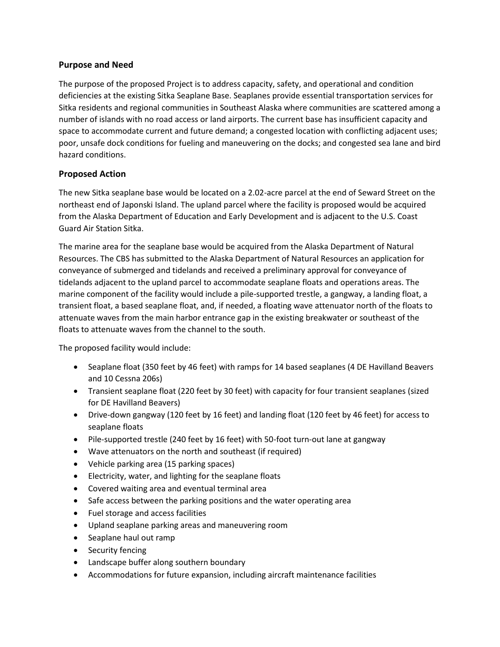# **Purpose and Need**

The purpose of the proposed Project is to address capacity, safety, and operational and condition deficiencies at the existing Sitka Seaplane Base. Seaplanes provide essential transportation services for Sitka residents and regional communities in Southeast Alaska where communities are scattered among a number of islands with no road access or land airports. The current base has insufficient capacity and space to accommodate current and future demand; a congested location with conflicting adjacent uses; poor, unsafe dock conditions for fueling and maneuvering on the docks; and congested sea lane and bird hazard conditions.

#### **Proposed Action**

The new Sitka seaplane base would be located on a 2.02-acre parcel at the end of Seward Street on the northeast end of Japonski Island. The upland parcel where the facility is proposed would be acquired from the Alaska Department of Education and Early Development and is adjacent to the U.S. Coast Guard Air Station Sitka.

The marine area for the seaplane base would be acquired from the Alaska Department of Natural Resources. The CBS has submitted to the Alaska Department of Natural Resources an application for conveyance of submerged and tidelands and received a preliminary approval for conveyance of tidelands adjacent to the upland parcel to accommodate seaplane floats and operations areas. The marine component of the facility would include a pile-supported trestle, a gangway, a landing float, a transient float, a based seaplane float, and, if needed, a floating wave attenuator north of the floats to attenuate waves from the main harbor entrance gap in the existing breakwater or southeast of the floats to attenuate waves from the channel to the south.

The proposed facility would include:

- Seaplane float (350 feet by 46 feet) with ramps for 14 based seaplanes (4 DE Havilland Beavers and 10 Cessna 206s)
- Transient seaplane float (220 feet by 30 feet) with capacity for four transient seaplanes (sized for DE Havilland Beavers)
- Drive-down gangway (120 feet by 16 feet) and landing float (120 feet by 46 feet) for access to seaplane floats
- Pile-supported trestle (240 feet by 16 feet) with 50-foot turn-out lane at gangway
- Wave attenuators on the north and southeast (if required)
- Vehicle parking area (15 parking spaces)
- Electricity, water, and lighting for the seaplane floats
- Covered waiting area and eventual terminal area
- Safe access between the parking positions and the water operating area
- Fuel storage and access facilities
- Upland seaplane parking areas and maneuvering room
- Seaplane haul out ramp
- Security fencing
- Landscape buffer along southern boundary
- Accommodations for future expansion, including aircraft maintenance facilities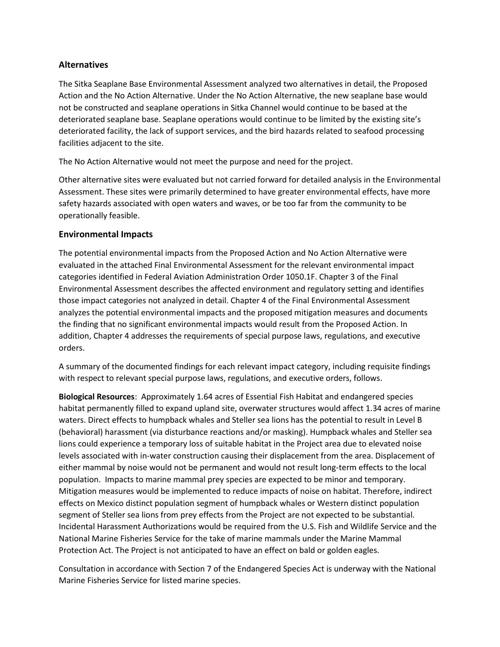### **Alternatives**

The Sitka Seaplane Base Environmental Assessment analyzed two alternatives in detail, the Proposed Action and the No Action Alternative. Under the No Action Alternative, the new seaplane base would not be constructed and seaplane operations in Sitka Channel would continue to be based at the deteriorated seaplane base. Seaplane operations would continue to be limited by the existing site's deteriorated facility, the lack of support services, and the bird hazards related to seafood processing facilities adjacent to the site.

The No Action Alternative would not meet the purpose and need for the project.

Other alternative sites were evaluated but not carried forward for detailed analysis in the Environmental Assessment. These sites were primarily determined to have greater environmental effects, have more safety hazards associated with open waters and waves, or be too far from the community to be operationally feasible.

#### **Environmental Impacts**

The potential environmental impacts from the Proposed Action and No Action Alternative were evaluated in the attached Final Environmental Assessment for the relevant environmental impact categories identified in Federal Aviation Administration Order 1050.1F. Chapter 3 of the Final Environmental Assessment describes the affected environment and regulatory setting and identifies those impact categories not analyzed in detail. Chapter 4 of the Final Environmental Assessment analyzes the potential environmental impacts and the proposed mitigation measures and documents the finding that no significant environmental impacts would result from the Proposed Action. In addition, Chapter 4 addresses the requirements of special purpose laws, regulations, and executive orders.

A summary of the documented findings for each relevant impact category, including requisite findings with respect to relevant special purpose laws, regulations, and executive orders, follows.

**Biological Resources**: Approximately 1.64 acres of Essential Fish Habitat and endangered species habitat permanently filled to expand upland site, overwater structures would affect 1.34 acres of marine waters. Direct effects to humpback whales and Steller sea lions has the potential to result in Level B (behavioral) harassment (via disturbance reactions and/or masking). Humpback whales and Steller sea lions could experience a temporary loss of suitable habitat in the Project area due to elevated noise levels associated with in-water construction causing their displacement from the area. Displacement of either mammal by noise would not be permanent and would not result long-term effects to the local population. Impacts to marine mammal prey species are expected to be minor and temporary. Mitigation measures would be implemented to reduce impacts of noise on habitat. Therefore, indirect effects on Mexico distinct population segment of humpback whales or Western distinct population segment of Steller sea lions from prey effects from the Project are not expected to be substantial. Incidental Harassment Authorizations would be required from the U.S. Fish and Wildlife Service and the National Marine Fisheries Service for the take of marine mammals under the Marine Mammal Protection Act. The Project is not anticipated to have an effect on bald or golden eagles.

Consultation in accordance with Section 7 of the Endangered Species Act is underway with the National Marine Fisheries Service for listed marine species.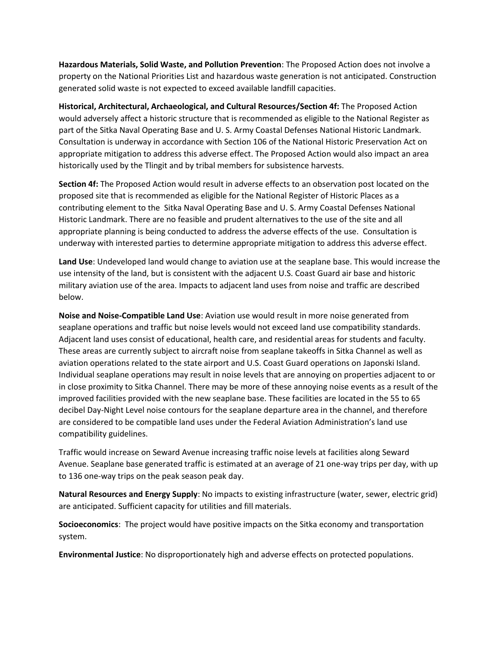**Hazardous Materials, Solid Waste, and Pollution Prevention**: The Proposed Action does not involve a property on the National Priorities List and hazardous waste generation is not anticipated. Construction generated solid waste is not expected to exceed available landfill capacities.

**Historical, Architectural, Archaeological, and Cultural Resources/Section 4f:** The Proposed Action would adversely affect a historic structure that is recommended as eligible to the National Register as part of the Sitka Naval Operating Base and U. S. Army Coastal Defenses National Historic Landmark. Consultation is underway in accordance with Section 106 of the National Historic Preservation Act on appropriate mitigation to address this adverse effect. The Proposed Action would also impact an area historically used by the Tlingit and by tribal members for subsistence harvests.

**Section 4f:** The Proposed Action would result in adverse effects to an observation post located on the proposed site that is recommended as eligible for the National Register of Historic Places as a contributing element to the Sitka Naval Operating Base and U. S. Army Coastal Defenses National Historic Landmark. There are no feasible and prudent alternatives to the use of the site and all appropriate planning is being conducted to address the adverse effects of the use. Consultation is underway with interested parties to determine appropriate mitigation to address this adverse effect.

**Land Use**: Undeveloped land would change to aviation use at the seaplane base. This would increase the use intensity of the land, but is consistent with the adjacent U.S. Coast Guard air base and historic military aviation use of the area. Impacts to adjacent land uses from noise and traffic are described below.

**Noise and Noise-Compatible Land Use**: Aviation use would result in more noise generated from seaplane operations and traffic but noise levels would not exceed land use compatibility standards. Adjacent land uses consist of educational, health care, and residential areas for students and faculty. These areas are currently subject to aircraft noise from seaplane takeoffs in Sitka Channel as well as aviation operations related to the state airport and U.S. Coast Guard operations on Japonski Island. Individual seaplane operations may result in noise levels that are annoying on properties adjacent to or in close proximity to Sitka Channel. There may be more of these annoying noise events as a result of the improved facilities provided with the new seaplane base. These facilities are located in the 55 to 65 decibel Day-Night Level noise contours for the seaplane departure area in the channel, and therefore are considered to be compatible land uses under the Federal Aviation Administration's land use compatibility guidelines.

Traffic would increase on Seward Avenue increasing traffic noise levels at facilities along Seward Avenue. Seaplane base generated traffic is estimated at an average of 21 one-way trips per day, with up to 136 one-way trips on the peak season peak day.

**Natural Resources and Energy Supply**: No impacts to existing infrastructure (water, sewer, electric grid) are anticipated. Sufficient capacity for utilities and fill materials.

**Socioeconomics**: The project would have positive impacts on the Sitka economy and transportation system.

**Environmental Justice**: No disproportionately high and adverse effects on protected populations.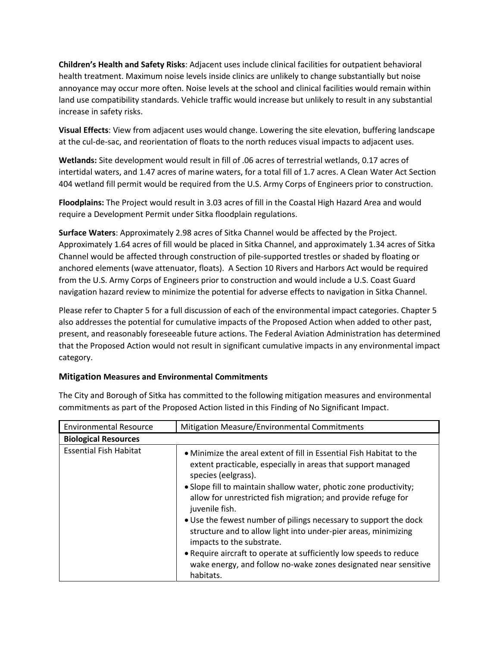**Children's Health and Safety Risks**: Adjacent uses include clinical facilities for outpatient behavioral health treatment. Maximum noise levels inside clinics are unlikely to change substantially but noise annoyance may occur more often. Noise levels at the school and clinical facilities would remain within land use compatibility standards. Vehicle traffic would increase but unlikely to result in any substantial increase in safety risks.

**Visual Effects**: View from adjacent uses would change. Lowering the site elevation, buffering landscape at the cul-de-sac, and reorientation of floats to the north reduces visual impacts to adjacent uses.

**Wetlands:** Site development would result in fill of .06 acres of terrestrial wetlands, 0.17 acres of intertidal waters, and 1.47 acres of marine waters, for a total fill of 1.7 acres. A Clean Water Act Section 404 wetland fill permit would be required from the U.S. Army Corps of Engineers prior to construction.

**Floodplains:** The Project would result in 3.03 acres of fill in the Coastal High Hazard Area and would require a Development Permit under Sitka floodplain regulations.

**Surface Waters**: Approximately 2.98 acres of Sitka Channel would be affected by the Project. Approximately 1.64 acres of fill would be placed in Sitka Channel, and approximately 1.34 acres of Sitka Channel would be affected through construction of pile-supported trestles or shaded by floating or anchored elements (wave attenuator, floats). A Section 10 Rivers and Harbors Act would be required from the U.S. Army Corps of Engineers prior to construction and would include a U.S. Coast Guard navigation hazard review to minimize the potential for adverse effects to navigation in Sitka Channel.

Please refer to Chapter 5 for a full discussion of each of the environmental impact categories. Chapter 5 also addresses the potential for cumulative impacts of the Proposed Action when added to other past, present, and reasonably foreseeable future actions. The Federal Aviation Administration has determined that the Proposed Action would not result in significant cumulative impacts in any environmental impact category.

# **Mitigation Measures and Environmental Commitments**

| <b>Environmental Resource</b> | Mitigation Measure/Environmental Commitments                                                                                                                                                                                                                                                                                                                                                                                                                                                                                                                                                                                    |  |
|-------------------------------|---------------------------------------------------------------------------------------------------------------------------------------------------------------------------------------------------------------------------------------------------------------------------------------------------------------------------------------------------------------------------------------------------------------------------------------------------------------------------------------------------------------------------------------------------------------------------------------------------------------------------------|--|
| <b>Biological Resources</b>   |                                                                                                                                                                                                                                                                                                                                                                                                                                                                                                                                                                                                                                 |  |
| <b>Essential Fish Habitat</b> | • Minimize the areal extent of fill in Essential Fish Habitat to the<br>extent practicable, especially in areas that support managed<br>species (eelgrass).<br>• Slope fill to maintain shallow water, photic zone productivity;<br>allow for unrestricted fish migration; and provide refuge for<br>juvenile fish.<br>• Use the fewest number of pilings necessary to support the dock<br>structure and to allow light into under-pier areas, minimizing<br>impacts to the substrate.<br>• Require aircraft to operate at sufficiently low speeds to reduce<br>wake energy, and follow no-wake zones designated near sensitive |  |
|                               | habitats.                                                                                                                                                                                                                                                                                                                                                                                                                                                                                                                                                                                                                       |  |

The City and Borough of Sitka has committed to the following mitigation measures and environmental commitments as part of the Proposed Action listed in this Finding of No Significant Impact.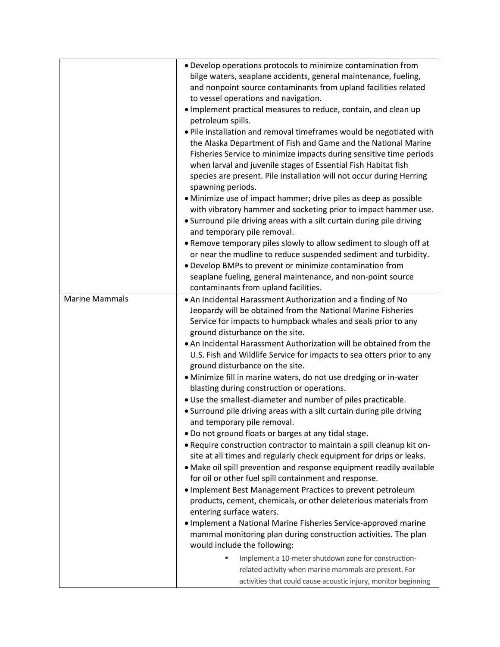|                       | . Develop operations protocols to minimize contamination from                                            |  |  |
|-----------------------|----------------------------------------------------------------------------------------------------------|--|--|
|                       | bilge waters, seaplane accidents, general maintenance, fueling,                                          |  |  |
|                       | and nonpoint source contaminants from upland facilities related                                          |  |  |
|                       | to vessel operations and navigation.                                                                     |  |  |
|                       | . Implement practical measures to reduce, contain, and clean up                                          |  |  |
|                       | petroleum spills.                                                                                        |  |  |
|                       | . Pile installation and removal timeframes would be negotiated with                                      |  |  |
|                       | the Alaska Department of Fish and Game and the National Marine                                           |  |  |
|                       | Fisheries Service to minimize impacts during sensitive time periods                                      |  |  |
|                       | when larval and juvenile stages of Essential Fish Habitat fish                                           |  |  |
|                       | species are present. Pile installation will not occur during Herring                                     |  |  |
|                       | spawning periods.                                                                                        |  |  |
|                       | • Minimize use of impact hammer; drive piles as deep as possible                                         |  |  |
|                       | with vibratory hammer and socketing prior to impact hammer use.                                          |  |  |
|                       | • Surround pile driving areas with a silt curtain during pile driving                                    |  |  |
|                       | and temporary pile removal.                                                                              |  |  |
|                       | . Remove temporary piles slowly to allow sediment to slough off at                                       |  |  |
|                       | or near the mudline to reduce suspended sediment and turbidity.                                          |  |  |
|                       | • Develop BMPs to prevent or minimize contamination from                                                 |  |  |
|                       | seaplane fueling, general maintenance, and non-point source                                              |  |  |
|                       | contaminants from upland facilities.                                                                     |  |  |
| <b>Marine Mammals</b> | • An Incidental Harassment Authorization and a finding of No                                             |  |  |
|                       | Jeopardy will be obtained from the National Marine Fisheries                                             |  |  |
|                       | Service for impacts to humpback whales and seals prior to any                                            |  |  |
|                       | ground disturbance on the site.                                                                          |  |  |
|                       | . An Incidental Harassment Authorization will be obtained from the                                       |  |  |
|                       | U.S. Fish and Wildlife Service for impacts to sea otters prior to any<br>ground disturbance on the site. |  |  |
|                       | · Minimize fill in marine waters, do not use dredging or in-water                                        |  |  |
|                       | blasting during construction or operations.                                                              |  |  |
|                       | . Use the smallest-diameter and number of piles practicable.                                             |  |  |
|                       | • Surround pile driving areas with a silt curtain during pile driving                                    |  |  |
|                       | and temporary pile removal.                                                                              |  |  |
|                       | . Do not ground floats or barges at any tidal stage.                                                     |  |  |
|                       | • Require construction contractor to maintain a spill cleanup kit on-                                    |  |  |
|                       | site at all times and regularly check equipment for drips or leaks.                                      |  |  |
|                       | • Make oil spill prevention and response equipment readily available                                     |  |  |
|                       | for oil or other fuel spill containment and response.                                                    |  |  |
|                       | . Implement Best Management Practices to prevent petroleum                                               |  |  |
|                       | products, cement, chemicals, or other deleterious materials from                                         |  |  |
|                       | entering surface waters.                                                                                 |  |  |
|                       | • Implement a National Marine Fisheries Service-approved marine                                          |  |  |
|                       | mammal monitoring plan during construction activities. The plan                                          |  |  |
|                       | would include the following:                                                                             |  |  |
|                       | Implement a 10-meter shutdown zone for construction-                                                     |  |  |
|                       | related activity when marine mammals are present. For                                                    |  |  |
|                       | activities that could cause acoustic injury, monitor beginning                                           |  |  |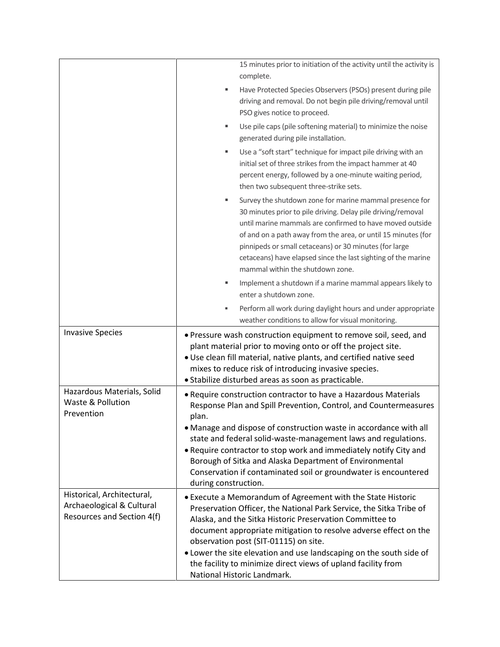|                                                                                       | 15 minutes prior to initiation of the activity until the activity is<br>complete.                                                                                                                                                                                                                                                                                                                                                                                                      |  |  |  |
|---------------------------------------------------------------------------------------|----------------------------------------------------------------------------------------------------------------------------------------------------------------------------------------------------------------------------------------------------------------------------------------------------------------------------------------------------------------------------------------------------------------------------------------------------------------------------------------|--|--|--|
|                                                                                       | Have Protected Species Observers (PSOs) present during pile<br>٠<br>driving and removal. Do not begin pile driving/removal until<br>PSO gives notice to proceed.                                                                                                                                                                                                                                                                                                                       |  |  |  |
|                                                                                       | Use pile caps (pile softening material) to minimize the noise<br>٠<br>generated during pile installation.                                                                                                                                                                                                                                                                                                                                                                              |  |  |  |
|                                                                                       | Use a "soft start" technique for impact pile driving with an<br>٠<br>initial set of three strikes from the impact hammer at 40<br>percent energy, followed by a one-minute waiting period,<br>then two subsequent three-strike sets.                                                                                                                                                                                                                                                   |  |  |  |
|                                                                                       | Survey the shutdown zone for marine mammal presence for<br>30 minutes prior to pile driving. Delay pile driving/removal<br>until marine mammals are confirmed to have moved outside<br>of and on a path away from the area, or until 15 minutes (for<br>pinnipeds or small cetaceans) or 30 minutes (for large<br>cetaceans) have elapsed since the last sighting of the marine<br>mammal within the shutdown zone.                                                                    |  |  |  |
|                                                                                       | Implement a shutdown if a marine mammal appears likely to<br>٠                                                                                                                                                                                                                                                                                                                                                                                                                         |  |  |  |
|                                                                                       | enter a shutdown zone.<br>Perform all work during daylight hours and under appropriate                                                                                                                                                                                                                                                                                                                                                                                                 |  |  |  |
|                                                                                       | weather conditions to allow for visual monitoring.                                                                                                                                                                                                                                                                                                                                                                                                                                     |  |  |  |
| <b>Invasive Species</b>                                                               | • Pressure wash construction equipment to remove soil, seed, and<br>plant material prior to moving onto or off the project site.<br>• Use clean fill material, native plants, and certified native seed<br>mixes to reduce risk of introducing invasive species.<br>· Stabilize disturbed areas as soon as practicable.                                                                                                                                                                |  |  |  |
| Hazardous Materials, Solid<br>Waste & Pollution<br>Prevention                         | • Require construction contractor to have a Hazardous Materials<br>Response Plan and Spill Prevention, Control, and Countermeasures<br>plan.<br>• Manage and dispose of construction waste in accordance with all<br>state and federal solid-waste-management laws and regulations.<br>• Require contractor to stop work and immediately notify City and<br>Borough of Sitka and Alaska Department of Environmental<br>Conservation if contaminated soil or groundwater is encountered |  |  |  |
|                                                                                       | during construction.                                                                                                                                                                                                                                                                                                                                                                                                                                                                   |  |  |  |
| Historical, Architectural,<br>Archaeological & Cultural<br>Resources and Section 4(f) | • Execute a Memorandum of Agreement with the State Historic<br>Preservation Officer, the National Park Service, the Sitka Tribe of<br>Alaska, and the Sitka Historic Preservation Committee to<br>document appropriate mitigation to resolve adverse effect on the<br>observation post (SIT-01115) on site.<br>. Lower the site elevation and use landscaping on the south side of<br>the facility to minimize direct views of upland facility from<br>National Historic Landmark.     |  |  |  |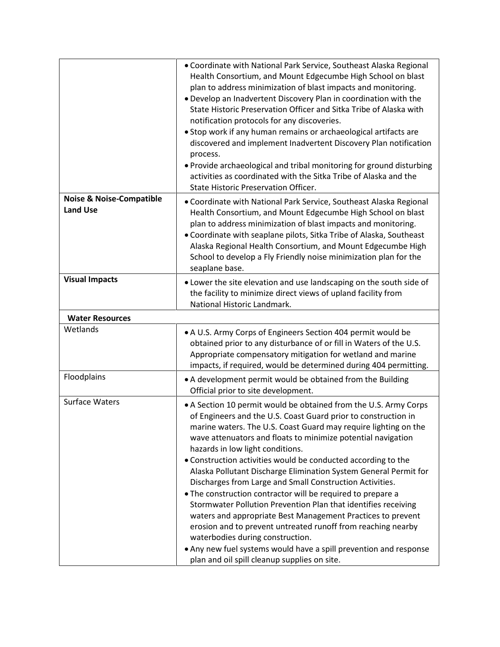|                                                        | • Coordinate with National Park Service, Southeast Alaska Regional<br>Health Consortium, and Mount Edgecumbe High School on blast<br>plan to address minimization of blast impacts and monitoring.<br>. Develop an Inadvertent Discovery Plan in coordination with the<br>State Historic Preservation Officer and Sitka Tribe of Alaska with<br>notification protocols for any discoveries.<br>• Stop work if any human remains or archaeological artifacts are<br>discovered and implement Inadvertent Discovery Plan notification<br>process.<br>. Provide archaeological and tribal monitoring for ground disturbing<br>activities as coordinated with the Sitka Tribe of Alaska and the<br>State Historic Preservation Officer.                                                                                                                                                                                                 |
|--------------------------------------------------------|-------------------------------------------------------------------------------------------------------------------------------------------------------------------------------------------------------------------------------------------------------------------------------------------------------------------------------------------------------------------------------------------------------------------------------------------------------------------------------------------------------------------------------------------------------------------------------------------------------------------------------------------------------------------------------------------------------------------------------------------------------------------------------------------------------------------------------------------------------------------------------------------------------------------------------------|
| <b>Noise &amp; Noise-Compatible</b><br><b>Land Use</b> | • Coordinate with National Park Service, Southeast Alaska Regional<br>Health Consortium, and Mount Edgecumbe High School on blast<br>plan to address minimization of blast impacts and monitoring.<br>• Coordinate with seaplane pilots, Sitka Tribe of Alaska, Southeast<br>Alaska Regional Health Consortium, and Mount Edgecumbe High<br>School to develop a Fly Friendly noise minimization plan for the<br>seaplane base.                                                                                                                                                                                                                                                                                                                                                                                                                                                                                                      |
| <b>Visual Impacts</b>                                  | . Lower the site elevation and use landscaping on the south side of<br>the facility to minimize direct views of upland facility from<br>National Historic Landmark.                                                                                                                                                                                                                                                                                                                                                                                                                                                                                                                                                                                                                                                                                                                                                                 |
| <b>Water Resources</b>                                 |                                                                                                                                                                                                                                                                                                                                                                                                                                                                                                                                                                                                                                                                                                                                                                                                                                                                                                                                     |
| Wetlands                                               | • A U.S. Army Corps of Engineers Section 404 permit would be<br>obtained prior to any disturbance of or fill in Waters of the U.S.<br>Appropriate compensatory mitigation for wetland and marine<br>impacts, if required, would be determined during 404 permitting.                                                                                                                                                                                                                                                                                                                                                                                                                                                                                                                                                                                                                                                                |
| Floodplains                                            | • A development permit would be obtained from the Building<br>Official prior to site development.                                                                                                                                                                                                                                                                                                                                                                                                                                                                                                                                                                                                                                                                                                                                                                                                                                   |
| <b>Surface Waters</b>                                  | • A Section 10 permit would be obtained from the U.S. Army Corps<br>of Engineers and the U.S. Coast Guard prior to construction in<br>marine waters. The U.S. Coast Guard may require lighting on the<br>wave attenuators and floats to minimize potential navigation<br>hazards in low light conditions.<br>• Construction activities would be conducted according to the<br>Alaska Pollutant Discharge Elimination System General Permit for<br>Discharges from Large and Small Construction Activities.<br>. The construction contractor will be required to prepare a<br>Stormwater Pollution Prevention Plan that identifies receiving<br>waters and appropriate Best Management Practices to prevent<br>erosion and to prevent untreated runoff from reaching nearby<br>waterbodies during construction.<br>• Any new fuel systems would have a spill prevention and response<br>plan and oil spill cleanup supplies on site. |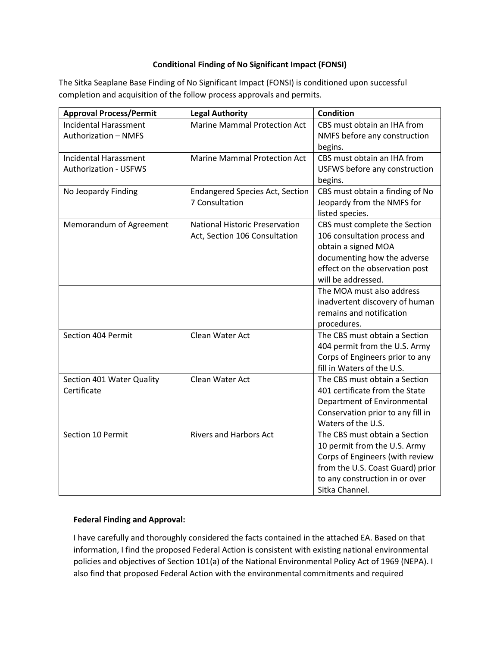#### **Conditional Finding of No Significant Impact (FONSI)**

The Sitka Seaplane Base Finding of No Significant Impact (FONSI) is conditioned upon successful completion and acquisition of the follow process approvals and permits.

| <b>Approval Process/Permit</b> | <b>Legal Authority</b>                 | <b>Condition</b>                                              |
|--------------------------------|----------------------------------------|---------------------------------------------------------------|
| <b>Incidental Harassment</b>   | <b>Marine Mammal Protection Act</b>    | CBS must obtain an IHA from                                   |
| <b>Authorization - NMFS</b>    |                                        | NMFS before any construction                                  |
|                                |                                        | begins.                                                       |
| <b>Incidental Harassment</b>   | <b>Marine Mammal Protection Act</b>    | CBS must obtain an IHA from                                   |
| <b>Authorization - USFWS</b>   |                                        | USFWS before any construction                                 |
|                                |                                        | begins.                                                       |
| No Jeopardy Finding            | <b>Endangered Species Act, Section</b> | CBS must obtain a finding of No                               |
|                                | 7 Consultation                         | Jeopardy from the NMFS for                                    |
|                                |                                        | listed species.                                               |
| Memorandum of Agreement        | <b>National Historic Preservation</b>  | CBS must complete the Section                                 |
|                                | Act, Section 106 Consultation          | 106 consultation process and                                  |
|                                |                                        | obtain a signed MOA                                           |
|                                |                                        | documenting how the adverse<br>effect on the observation post |
|                                |                                        | will be addressed.                                            |
|                                |                                        | The MOA must also address                                     |
|                                |                                        | inadvertent discovery of human                                |
|                                |                                        | remains and notification                                      |
|                                |                                        | procedures.                                                   |
| Section 404 Permit             | Clean Water Act                        | The CBS must obtain a Section                                 |
|                                |                                        | 404 permit from the U.S. Army                                 |
|                                |                                        | Corps of Engineers prior to any                               |
|                                |                                        | fill in Waters of the U.S.                                    |
| Section 401 Water Quality      | Clean Water Act                        | The CBS must obtain a Section                                 |
| Certificate                    |                                        | 401 certificate from the State                                |
|                                |                                        | Department of Environmental                                   |
|                                |                                        | Conservation prior to any fill in                             |
|                                |                                        | Waters of the U.S.                                            |
| Section 10 Permit              | <b>Rivers and Harbors Act</b>          | The CBS must obtain a Section                                 |
|                                |                                        | 10 permit from the U.S. Army                                  |
|                                |                                        | Corps of Engineers (with review                               |
|                                |                                        | from the U.S. Coast Guard) prior                              |
|                                |                                        | to any construction in or over                                |
|                                |                                        | Sitka Channel.                                                |

# **Federal Finding and Approval:**

I have carefully and thoroughly considered the facts contained in the attached EA. Based on that information, I find the proposed Federal Action is consistent with existing national environmental policies and objectives of Section 101(a) of the National Environmental Policy Act of 1969 (NEPA). I also find that proposed Federal Action with the environmental commitments and required